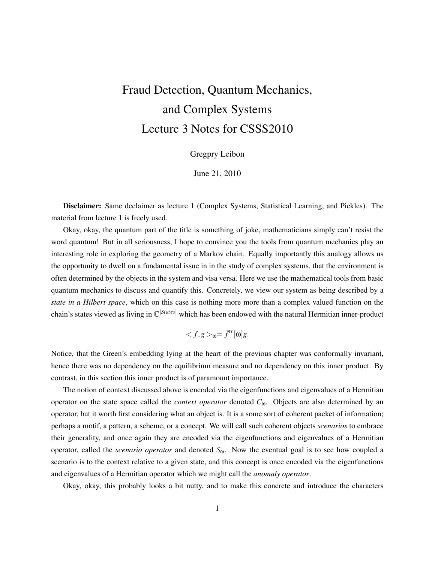# Fraud Detection, Quantum Mechanics, and Complex Systems Lecture 3 Notes for CSSS2010

Gregpry Leibon

June 21, 2010

Disclaimer: Same declaimer as lecture 1 (Complex Systems, Statistical Learning, and Pickles). The material from lecture 1 is freely used.

Okay, okay, the quantum part of the title is something of joke, mathematicians simply can't resist the word quantum! But in all seriousness, I hope to convince you the tools from quantum mechanics play an interesting role in exploring the geometry of a Markov chain. Equally importantly this analogy allows us the opportunity to dwell on a fundamental issue in in the study of complex systems, that the environment is often determined by the objects in the system and visa versa. Here we use the mathematical tools from basic quantum mechanics to discuss and quantify this. Concretely, we view our system as being described by a *state in a Hilbert space*, which on this case is nothing more more than a complex valued function on the chain's states viewed as living in  $\mathbb{C}^{|States|}$  which has been endowed with the natural Hermitian inner-product

$$
_{\text{O}} = \bar{f}^{tr}[\text{O}]g.
$$

Notice, that the Green's embedding lying at the heart of the previous chapter was conformally invariant, hence there was no dependency on the equilibrium measure and no dependency on this inner product. By contrast, in this section this inner product is of paramount importance.

The notion of context discussed above is encoded via the eigenfunctions and eigenvalues of a Hermitian operator on the state space called the *context operator* denoted *C*ω. Objects are also determined by an operator, but it worth first considering what an object is. It is a some sort of coherent packet of information; perhaps a motif, a pattern, a scheme, or a concept. We will call such coherent objects *scenarios* to embrace their generality, and once again they are encoded via the eigenfunctions and eigenvalues of a Hermitian operator, called the *scenario operator* and denoted *S*ω. Now the eventual goal is to see how coupled a scenario is to the context relative to a given state, and this concept is once encoded via the eigenfunctions and eigenvalues of a Hermitian operator which we might call the *anomaly operator*.

Okay, okay, this probably looks a bit nutty, and to make this concrete and introduce the characters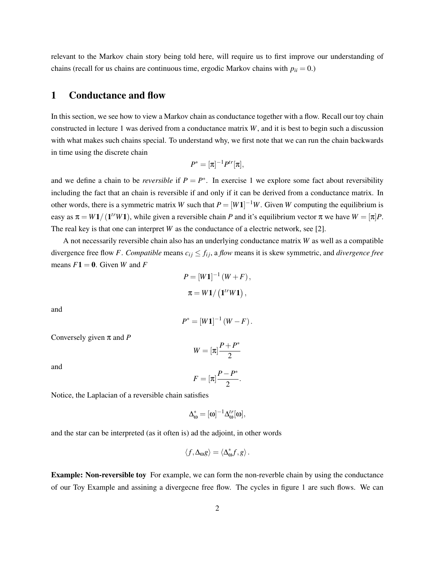relevant to the Markov chain story being told here, will require us to first improve our understanding of chains (recall for us chains are continuous time, ergodic Markov chains with  $p_{ii} = 0$ .)

## 1 Conductance and flow

In this section, we see how to view a Markov chain as conductance together with a flow. Recall our toy chain constructed in lecture 1 was derived from a conductance matrix *W*, and it is best to begin such a discussion with what makes such chains special. To understand why, we first note that we can run the chain backwards in time using the discrete chain

$$
P^*=[\pi]^{-1}P^{tr}[\pi],
$$

and we define a chain to be *reversible* if  $P = P^*$ . In exercise 1 we explore some fact about reversibility including the fact that an chain is reversible if and only if it can be derived from a conductance matrix. In other words, there is a symmetric matrix *W* such that  $P = [W1]^{-1}W$ . Given *W* computing the equilibrium is easy as  $\pi = W1/(1^{tr}W1)$ , while given a reversible chain *P* and it's equilibrium vector  $\pi$  we have  $W = [\pi]P$ . The real key is that one can interpret *W* as the conductance of a electric network, see [2].

A not necessarily reversible chain also has an underlying conductance matrix *W* as well as a compatible divergence free flow *F*. *Compatible* means  $c_{ij} \leq f_{ij}$ , a *flow* means it is skew symmetric, and *divergence free* means  $F1 = 0$ . Given *W* and *F* 

$$
P = [W1]^{-1} (W + F),
$$
  

$$
\pi = W1 / (1^{tr} W1),
$$

and

$$
P^* = [W1]^{-1} (W - F).
$$

Conversely given π and *P*

and

$$
F = [\pi] \frac{P - P^*}{2}.
$$

 $W = [\pi] \frac{P + P^*}{2}$ 

Notice, the Laplacian of a reversible chain satisfies

$$
\Delta_{\omega}^* = [\omega]^{-1} \Delta_{\omega}^{tr}[\omega],
$$

and the star can be interpreted (as it often is) ad the adjoint, in other words

$$
\langle f,\Delta_{\omega}g\rangle=\langle\Delta_{\omega}^*f,g\rangle\,.
$$

Example: Non-reversible toy For example, we can form the non-reverble chain by using the conductance of our Toy Example and assining a divergecne free flow. The cycles in figure 1 are such flows. We can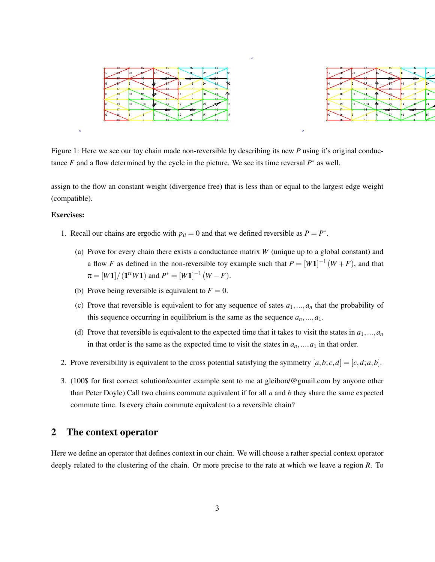

Figure 1: Here we see our toy chain made non-reversible by describing its new *P* using it's original conductance  $F$  and a flow determined by the cycle in the picture. We see its time reversal  $P^*$  as well.

assign to the flow an constant weight (divergence free) that is less than or equal to the largest edge weight (compatible).

#### Exercises:

- 1. Recall our chains are ergodic with  $p_{ii} = 0$  and that we defined reversible as  $P = P^*$ .
	- (a) Prove for every chain there exists a conductance matrix *W* (unique up to a global constant) and a flow *F* as defined in the non-reversible toy example such that  $P = [W1]^{-1}(W + F)$ , and that  $\pi = [W1]/(1^{tr}W1)$  and  $P^* = [W1]^{-1}(W - F)$ .
	- (b) Prove being reversible is equivalent to  $F = 0$ .
	- (c) Prove that reversible is equivalent to for any sequence of sates  $a_1, \ldots, a_n$  that the probability of this sequence occurring in equilibrium is the same as the sequence  $a_n$ ,..., $a_1$ .
	- (d) Prove that reversible is equivalent to the expected time that it takes to visit the states in  $a_1, ..., a_n$ in that order is the same as the expected time to visit the states in  $a_n$ , ...,  $a_1$  in that order.
- 2. Prove reversibility is equivalent to the cross potential satisfying the symmetry  $[a, b; c, d] = [c, d; a, b]$ .
- 3. (100\$ for first correct solution/counter example sent to me at gleibon/@gmail.com by anyone other than Peter Doyle) Call two chains commute equivalent if for all *a* and *b* they share the same expected commute time. Is every chain commute equivalent to a reversible chain?

# 2 The context operator

Here we define an operator that defines context in our chain. We will choose a rather special context operator deeply related to the clustering of the chain. Or more precise to the rate at which we leave a region *R*. To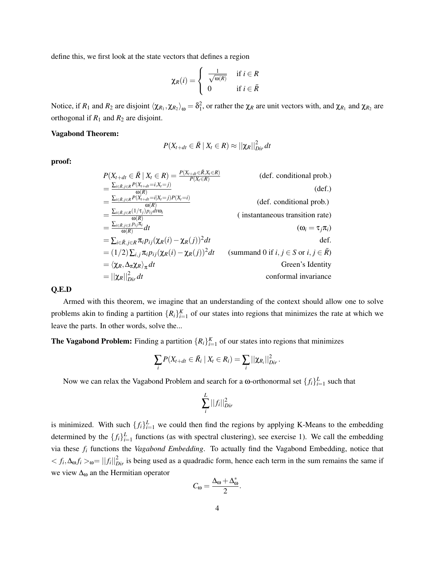define this, we first look at the state vectors that defines a region

$$
\chi_R(i) = \begin{cases} \frac{1}{\sqrt{\omega(R)}} & \text{if } i \in R \\ 0 & \text{if } i \in \bar{R} \end{cases}
$$

Notice, if  $R_1$  and  $R_2$  are disjoint  $\langle \chi_{R_1}, \chi_{R_2} \rangle_{\omega} = \delta_1^2$ , or rather the  $\chi_R$  are unit vectors with, and  $\chi_{R_1}$  and  $\chi_{R_2}$  are orthogonal if  $R_1$  and  $R_2$  are disjoint.

#### Vagabond Theorem:

$$
P(X_{t+dt} \in \bar{R} \mid X_t \in R) \approx ||\chi_R||_{Dir}^2 dt
$$

proof:

$$
P(X_{t+dt} \in \bar{R} | X_t \in R) = \frac{P(X_{t+dt} \in \bar{R}, X_t \in R)}{P(X_t \in R)}
$$
 (def. conditional prob.)  
\n
$$
= \frac{\sum_{i \in \bar{R}, j \in R} P(X_{t+dt} = i, X_t = j)}{\omega(R)}
$$
 (def.)  
\n
$$
= \frac{\sum_{i \in \bar{R}, j \in R} P(X_{t+dt} = i | X_t = j) P(X_t = i)}{\omega(R)}
$$
 (def. conditional prob.)  
\n
$$
= \frac{\sum_{i \in \bar{R}, j \in R} \eta(Y_{t+dt} = i | X_t = j) P(X_t = i)}{\omega(R)}
$$
 (instantaneous transition rate)  
\n
$$
= \frac{\sum_{i \in \bar{R}, j \in R} \eta(Y_{t+dt} = i | X_t = j) P(X_t = i)}{\omega(R)}
$$
 (instantaneous transition rate)  
\n
$$
= \frac{\sum_{i \in \bar{R}, j \in R} \eta(Y_{t+dt} = i | X_t = j) P(X_t = i)}{\omega(R)}
$$
 (instantaneous transition rate)  
\n
$$
= \sum_{i \in \bar{R}, j \in R} \eta(Y_{t+dt} = i | X_t = j) P(X_t = i)
$$
 (assimation rate)  
\n
$$
= \sum_{i \in \bar{R}, j \in R} \eta(Y_{t+dt} = i | X_t = j) P(X_t = i)
$$
 (assimation rate)  
\n
$$
= \sum_{i \in \bar{R}, j \in R} \eta(Y_{t+dt} = i | X_t = j) P(X_t = i)
$$
 (dref. conditional prob.)  
\n
$$
= \frac{\sum_{i \in \bar{R}, j \in R} P(X_{t+dt} = i | X_t = j) P(X_t = i)}{\omega(R)}
$$
 (def. conditional prob.)  
\n
$$
= \sum_{i \in \bar{R}, j \in R} \eta(Y_{t+dt} = i | X_t = j) P(X_t = i)
$$
 (dref. conditional prob.)  
\n
$$
= \sum_{i \in \bar{R}, j \in R} \eta(Y_{t+dt} = i | X_t = j) P(X_t = i)
$$
 (dref.)  
\n
$$
= \sum_{i \in \bar{R}, j \in R} \eta(Y_{t+dt} = i | X_t = j) P(X_t = i)
$$
 (dref

#### Q.E.D

Armed with this theorem, we imagine that an understanding of the context should allow one to solve problems akin to finding a partition  $\{R_i\}_{i=1}^K$  of our states into regions that minimizes the rate at which we leave the parts. In other words, solve the...

**The Vagabond Problem:** Finding a partition  $\{R_i\}_{i=1}^K$  of our states into regions that minimizes

$$
\sum_i P(X_{t+dt} \in \overline{R}_i \mid X_t \in R_i) = \sum_i ||\chi_{R_i}||_{Dir}^2.
$$

Now we can relax the Vagabond Problem and search for a  $\omega$ -orthonormal set  $\{f_i\}_{i=1}^L$  such that

$$
\sum_{i}^{L}||f_i||_{Dir}^2
$$

is minimized. With such  $\{f_i\}_{i=1}^L$  we could then find the regions by applying K-Means to the embedding determined by the  $\{f_i\}_{i=1}^L$  functions (as with spectral clustering), see exercise 1). We call the embedding via these *f<sup>i</sup>* functions the *Vagabond Embedding*. To actually find the Vagabond Embedding, notice that  $\langle f_i, \Delta_0 f_i \rangle$ <sub>0</sub> =  $||f_i||_{Dir}^2$  is being used as a quadradic form, hence each term in the sum remains the same if we view  $\Delta_{\omega}$  an the Hermitian operator

$$
C_{\omega}=\frac{\Delta_{\omega}+\Delta_{\omega}^*}{2}.
$$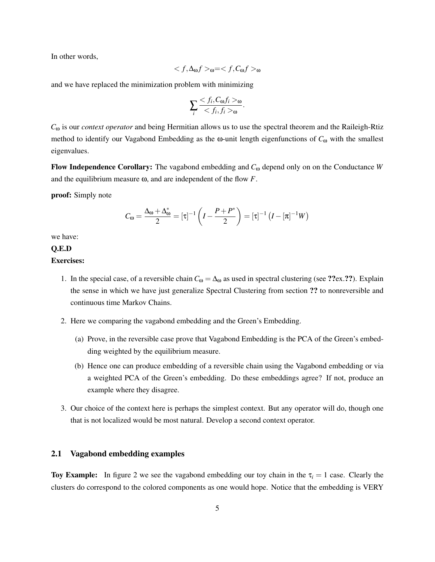In other words,

$$
_{\mathbf{0}}=_{\mathbf{0}}
$$

and we have replaced the minimization problem with minimizing

$$
\sum_{i} \frac{< f_i, C_{\omega} f_i >_{\omega}}{< f_i, f_i >_{\omega}}.
$$

*C*<sup>ω</sup> is our *context operator* and being Hermitian allows us to use the spectral theorem and the Raileigh-Rtiz method to identify our Vagabond Embedding as the  $\omega$ -unit length eigenfunctions of  $C_{\omega}$  with the smallest eigenvalues.

Flow Independence Corollary: The vagabond embedding and *C*<sup>ω</sup> depend only on on the Conductance *W* and the equilibrium measure ω, and are independent of the flow *F*.

proof: Simply note

$$
C_{\omega} = \frac{\Delta_{\omega} + \Delta_{\omega}^*}{2} = [\tau]^{-1} \left(I - \frac{P + P^*}{2}\right) = [\tau]^{-1} \left(I - [\pi]^{-1}W\right)
$$

we have:

#### Q.E.D

#### Exercises:

- 1. In the special case, of a reversible chain  $C_{\omega} = \Delta_{\omega}$  as used in spectral clustering (see ??ex.??). Explain the sense in which we have just generalize Spectral Clustering from section ?? to nonreversible and continuous time Markov Chains.
- 2. Here we comparing the vagabond embedding and the Green's Embedding.
	- (a) Prove, in the reversible case prove that Vagabond Embedding is the PCA of the Green's embedding weighted by the equilibrium measure.
	- (b) Hence one can produce embedding of a reversible chain using the Vagabond embedding or via a weighted PCA of the Green's embedding. Do these embeddings agree? If not, produce an example where they disagree.
- 3. Our choice of the context here is perhaps the simplest context. But any operator will do, though one that is not localized would be most natural. Develop a second context operator.

## 2.1 Vagabond embedding examples

Toy Example: In figure 2 we see the vagabond embedding our toy chain in the  $\tau_i = 1$  case. Clearly the clusters do correspond to the colored components as one would hope. Notice that the embedding is VERY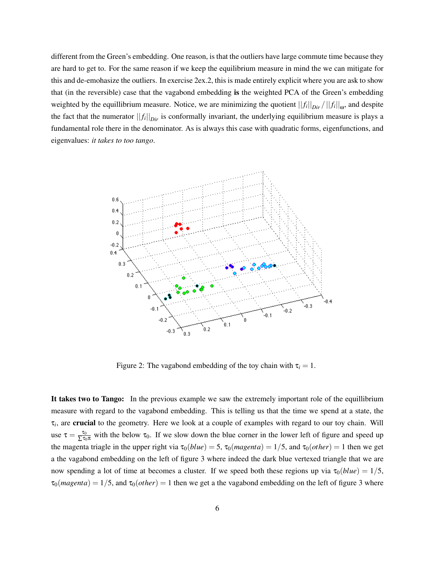different from the Green's embedding. One reason, is that the outliers have large commute time because they are hard to get to. For the same reason if we keep the equilibrium measure in mind the we can mitigate for this and de-emohasize the outliers. In exercise 2ex.2, this is made entirely explicit where you are ask to show that (in the reversible) case that the vagabond embedding is the weighted PCA of the Green's embedding weighted by the equillibrium measure. Notice, we are minimizing the quotient  $||f_i||_{Dir}/||f_i||_{\omega}$ , and despite the fact that the numerator  $||f_i||_{Dir}$  is conformally invariant, the underlying equilibrium measure is plays a fundamental role there in the denominator. As is always this case with quadratic forms, eigenfunctions, and eigenvalues: *it takes to too tango*.



Figure 2: The vagabond embedding of the toy chain with  $\tau_i = 1$ .

It takes two to Tango: In the previous example we saw the extremely important role of the equillibrium measure with regard to the vagabond embedding. This is telling us that the time we spend at a state, the τ*i* , are crucial to the geometry. Here we look at a couple of examples with regard to our toy chain. Will use  $\tau = \frac{\tau_0}{\sum \tau_0 \pi}$  with the below  $\tau_0$ . If we slow down the blue corner in the lower left of figure and speed up the magenta triagle in the upper right via  $\tau_0(blue) = 5$ ,  $\tau_0(magenta) = 1/5$ , and  $\tau_0(other) = 1$  then we get a the vagabond embedding on the left of figure 3 where indeed the dark blue vertexed triangle that we are now spending a lot of time at becomes a cluster. If we speed both these regions up via  $\tau_0(blue) = 1/5$ ,  $\tau_0(magenta) = 1/5$ , and  $\tau_0(other) = 1$  then we get a the vagabond embedding on the left of figure 3 where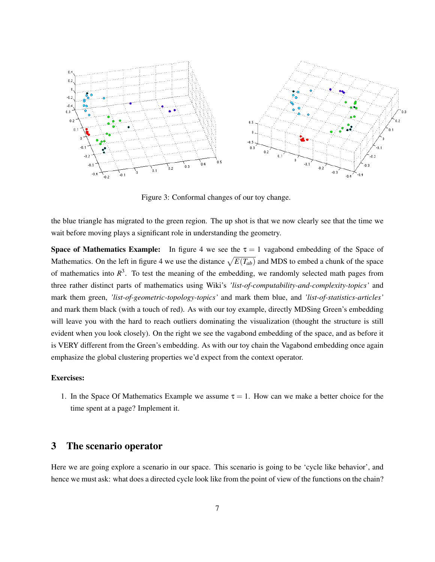

Figure 3: Conformal changes of our toy change.

the blue triangle has migrated to the green region. The up shot is that we now clearly see that the time we wait before moving plays a significant role in understanding the geometry.

**Space of Mathematics Example:** In figure 4 we see the  $\tau = 1$  vagabond embedding of the Space of Mathematics. On the left in figure 4 we use the distance  $\sqrt{E(T_{ab})}$  and MDS to embed a chunk of the space of mathematics into  $R<sup>3</sup>$ . To test the meaning of the embedding, we randomly selected math pages from three rather distinct parts of mathematics using Wiki's *'list-of-computability-and-complexity-topics'* and mark them green, *'list-of-geometric-topology-topics'* and mark them blue, and *'list-of-statistics-articles'* and mark them black (with a touch of red). As with our toy example, directly MDSing Green's embedding will leave you with the hard to reach outliers dominating the visualization (thought the structure is still evident when you look closely). On the right we see the vagabond embedding of the space, and as before it is VERY different from the Green's embedding. As with our toy chain the Vagabond embedding once again emphasize the global clustering properties we'd expect from the context operator.

#### Exercises:

1. In the Space Of Mathematics Example we assume  $\tau = 1$ . How can we make a better choice for the time spent at a page? Implement it.

# 3 The scenario operator

Here we are going explore a scenario in our space. This scenario is going to be 'cycle like behavior', and hence we must ask: what does a directed cycle look like from the point of view of the functions on the chain?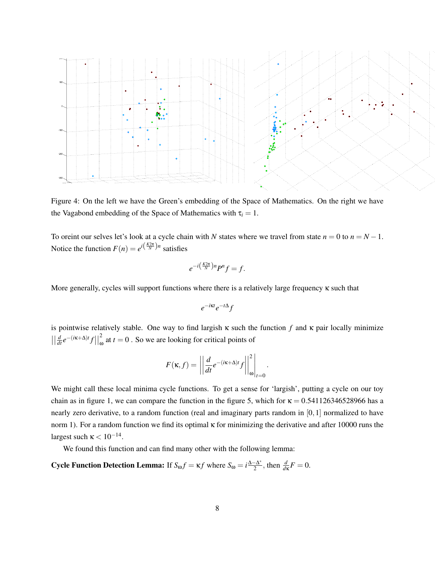

Figure 4: On the left we have the Green's embedding of the Space of Mathematics. On the right we have the Vagabond embedding of the Space of Mathematics with  $\tau_i = 1$ .

To oreint our selves let's look at a cycle chain with *N* states where we travel from state  $n = 0$  to  $n = N - 1$ . Notice the function  $F(n) = e^{i(\frac{K2\pi}{N})n}$  satisfies

$$
e^{-i\left(\frac{K2\pi}{N}\right)n}P^{n}f=f.
$$

More generally, cycles will support functions where there is a relatively large frequency  $\kappa$  such that

$$
e^{-i\kappa t}e^{-t\Delta}f
$$

is pointwise relatively stable. One way to find largish  $\kappa$  such the function  $f$  and  $\kappa$  pair locally minimize  $\left| \left| \frac{d}{dt} e^{-(i\kappa + \Delta)t} f \right| \right|$ 2  $\int_{\omega}^{\infty}$  at *t* = 0. So we are looking for critical points of

$$
F(\kappa, f) = \left| \left| \frac{d}{dt} e^{-(i\kappa + \Delta)t} f \right| \right|_{\omega}^{2} \Big|_{t=0}.
$$

We might call these local minima cycle functions. To get a sense for 'largish', putting a cycle on our toy chain as in figure 1, we can compare the function in the figure 5, which for  $\kappa = 0.541126346528966$  has a nearly zero derivative, to a random function (real and imaginary parts random in [0,1] normalized to have norm 1). For a random function we find its optimal κ for minimizing the derivative and after 10000 runs the largest such  $\kappa < 10^{-14}$ .

We found this function and can find many other with the following lemma:

**Cycle Function Detection Lemma:** If  $S_{\omega}f = \kappa f$  where  $S_{\omega} = i\frac{\Delta - \Delta^*}{2}$  $\frac{d}{2} \left( \frac{\Delta^*}{2}, \text{ then } \frac{d}{d\kappa} F = 0.$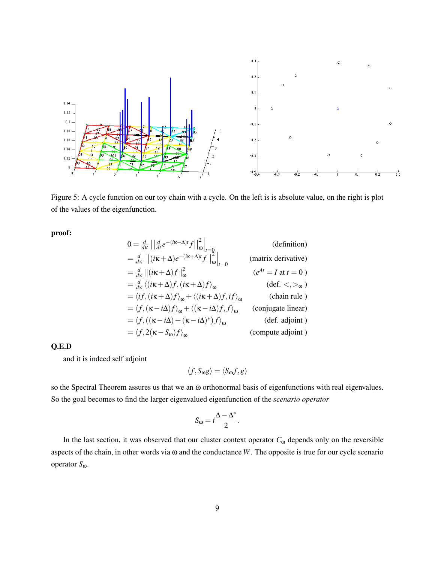

Figure 5: A cycle function on our toy chain with a cycle. On the left is is absolute value, on the right is plot of the values of the eigenfunction.

proof:

$$
0 = \frac{d}{d\kappa} \left| \left| \frac{d}{dt} e^{-(i\kappa + \Delta)t} f \right| \right|_{\omega}^{2} \right|_{t=0}
$$
 (definition)  
\n
$$
= \frac{d}{d\kappa} \left| \left| (i\kappa + \Delta) e^{-(i\kappa + \Delta)t} f \right| \right|_{\omega}^{2} \right|_{t=0}
$$
 (matrix derivative)  
\n
$$
= \frac{d}{d\kappa} \left| \left| (i\kappa + \Delta) f \right| \right|_{\omega}^{2}
$$
 ( $e^{At} = I$  at  $t = 0$ )  
\n
$$
= \frac{d}{d\kappa} \left\langle (i\kappa + \Delta) f, (i\kappa + \Delta) f \right\rangle_{\omega}
$$
 (def. <, ><sub>ω</sub>)  
\n
$$
= \left\langle f, (i\kappa + \Delta) f \right\rangle_{\omega} + \left\langle (i\kappa + \Delta) f, i f \right\rangle_{\omega}
$$
 (chain rule)  
\n
$$
= \left\langle f, (i\kappa - i\Delta) f \right\rangle_{\omega} + \left\langle (i\kappa - i\Delta) f, f \right\rangle_{\omega}
$$
 (conjugate linear)  
\n
$$
= \left\langle f, (i\kappa - i\Delta) f + (i\kappa - i\Delta)^{*} \right\rangle f \right\rangle_{\omega}
$$
 (def. adjoint)  
\n
$$
= \left\langle f, 2(i\kappa - S_{\omega}) f \right\rangle_{\omega}
$$
 (compute adjoint)

#### Q.E.D

and it is indeed self adjoint

$$
\langle f, S_{\omega} g \rangle = \langle S_{\omega} f, g \rangle
$$

so the Spectral Theorem assures us that we an ω orthonormal basis of eigenfunctions with real eigenvalues. So the goal becomes to find the larger eigenvalued eigenfunction of the *scenario operator*

$$
S_{\omega} = i \frac{\Delta - \Delta^*}{2}.
$$

In the last section, it was observed that our cluster context operator  $C_{\omega}$  depends only on the reversible aspects of the chain, in other words via ω and the conductance *W*. The opposite is true for our cycle scenario operator *S*ω.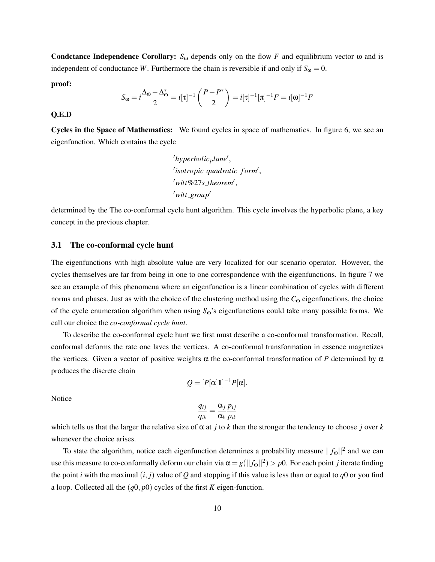Condctance Independence Corollary:  $S_{\omega}$  depends only on the flow *F* and equilibrium vector  $\omega$  and is independent of conductance *W*. Furthermore the chain is reversible if and only if  $S_{\omega} = 0$ .

proof:

$$
S_{\omega} = i \frac{\Delta_{\omega} - \Delta_{\omega}^{*}}{2} = i[\tau]^{-1} \left( \frac{P - P^{*}}{2} \right) = i[\tau]^{-1} [\pi]^{-1} F = i[\omega]^{-1} F
$$

#### Q.E.D

Cycles in the Space of Mathematics: We found cycles in space of mathematics. In figure 6, we see an eigenfunction. Which contains the cycle

> 'hyperbolic<sub>p</sub>lane', 'isotropic\_quadratic\_form', witt%27s\_theorem<sup>'</sup>,  $\prime$ *witt\_group* $\prime$

determined by the The co-conformal cycle hunt algorithm. This cycle involves the hyperbolic plane, a key concept in the previous chapter.

#### 3.1 The co-conformal cycle hunt

The eigenfunctions with high absolute value are very localized for our scenario operator. However, the cycles themselves are far from being in one to one correspondence with the eigenfunctions. In figure 7 we see an example of this phenomena where an eigenfunction is a linear combination of cycles with different norms and phases. Just as with the choice of the clustering method using the *C*<sup>ω</sup> eigenfunctions, the choice of the cycle enumeration algorithm when using *S*ω's eigenfunctions could take many possible forms. We call our choice the *co-conformal cycle hunt*.

To describe the co-conformal cycle hunt we first must describe a co-conformal transformation. Recall, conformal deforms the rate one laves the vertices. A co-conformal transformation in essence magnetizes the vertices. Given a vector of positive weights α the co-conformal transformation of *P* determined by  $α$ produces the discrete chain

$$
Q=[P[\alpha]1]^{-1}P[\alpha].
$$

Notice

$$
\frac{q_{ij}}{q_{ik}} = \frac{\alpha_j}{\alpha_k} \frac{p_{ij}}{p_{ik}}
$$

which tells us that the larger the relative size of  $\alpha$  at *j* to *k* then the stronger the tendency to choose *j* over *k* whenever the choice arises.

To state the algorithm, notice each eigenfunction determines a probability measure  $||f_{\omega}||^2$  and we can use this measure to co-conformally deform our chain via  $\alpha = g(||f_{\omega}||^2) > p0$ . For each point *j* iterate finding the point *i* with the maximal  $(i, j)$  value of *Q* and stopping if this value is less than or equal to *q*0 or you find a loop. Collected all the (*q*0, *p*0) cycles of the first *K* eigen-function.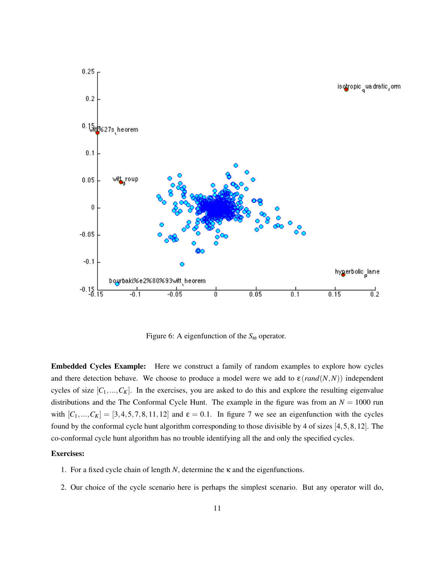

Figure 6: A eigenfunction of the *S*<sup>ω</sup> operator.

Embedded Cycles Example: Here we construct a family of random examples to explore how cycles and there detection behave. We choose to produce a model were we add to  $\varepsilon$  (*rand*(*N*,*N*)) independent cycles of size  $[C_1,...,C_K]$ . In the exercises, you are asked to do this and explore the resulting eigenvalue distributions and the The Conformal Cycle Hunt. The example in the figure was from an  $N = 1000$  run with  $[C_1,...,C_K] = [3,4,5,7,8,11,12]$  and  $\varepsilon = 0.1$ . In figure 7 we see an eigenfunction with the cycles found by the conformal cycle hunt algorithm corresponding to those divisible by 4 of sizes [4,5,8,12]. The co-conformal cycle hunt algorithm has no trouble identifying all the and only the specified cycles.

#### Exercises:

- 1. For a fixed cycle chain of length *N*, determine the κ and the eigenfunctions.
- 2. Our choice of the cycle scenario here is perhaps the simplest scenario. But any operator will do,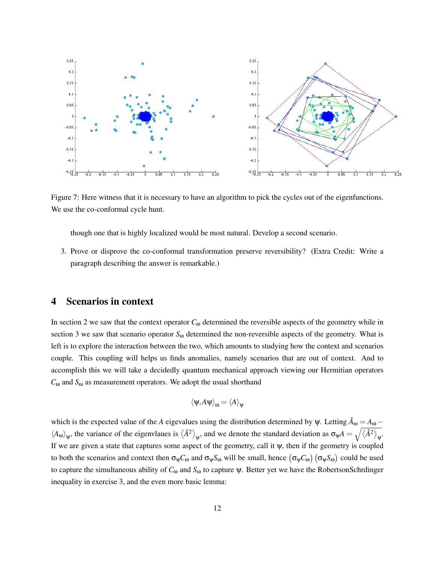

Figure 7: Here witness that it is necessary to have an algorithm to pick the cycles out of the eigenfunctions. We use the co-conformal cycle hunt.

though one that is highly localized would be most natural. Develop a second scenario.

3. Prove or disprove the co-conformal transformation preserve reversibility? (Extra Credit: Write a paragraph describing the answer is remarkable.)

# 4 Scenarios in context

In section 2 we saw that the context operator  $C_{\omega}$  determined the reversible aspects of the geometry while in section 3 we saw that scenario operator *S*<sup>ω</sup> determined the non-reversible aspects of the geometry. What is left is to explore the interaction between the two, which amounts to studying how the context and scenarios couple. This coupling will helps us finds anomalies, namely scenarios that are out of context. And to accomplish this we will take a decidedly quantum mechanical approach viewing our Hermitian operators *C*<sup>ω</sup> and *S*<sup>ω</sup> as measurement operators. We adopt the usual shorthand

$$
\langle \psi, A\psi \rangle_{\omega} = \langle A \rangle_{\psi}
$$

which is the expected value of the *A* eigevalues using the distribution determined by  $\psi$ . Letting  $\hat{A}_{\omega} = A_{\omega} - \hat{A}_{\omega}$  $\langle A_{\omega}\rangle_{\psi}$ , the variance of the eigenvlaues is  $\langle \hat{A}^2 \rangle_{\psi}$ , and we denote the standard deviation as  $\sigma_{\psi}A = \sqrt{\langle \hat{A}^2 \rangle_{\psi}}$ . If we are given a state that captures some aspect of the geometry, call it  $\psi$ , then if the geometry is coupled to both the scenarios and context then  $\sigma_\psi C_\omega$  and  $\sigma_\psi S_\omega$  will be small, hence  $(\sigma_\psi C_\omega)(\sigma_\psi S_\omega)$  could be used to capture the simultaneous ability of  $C_ω$  and  $S_ω$  to capture  $ψ$ . Better yet we have the RobertsonSchrdinger inequality in exercise 3, and the even more basic lemma: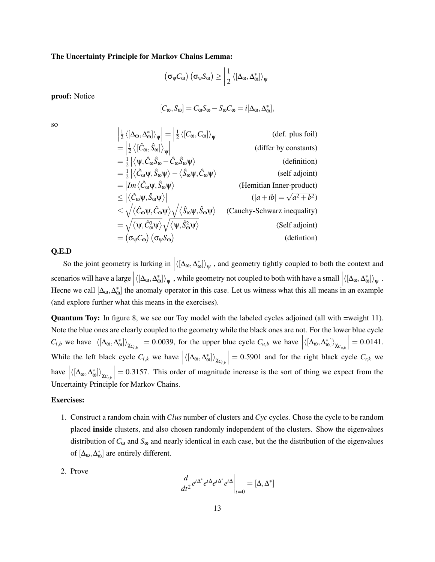#### The Uncertainty Principle for Markov Chains Lemma:

$$
\left(\sigma_{\psi}C_{\omega}\right)\left(\sigma_{\psi}S_{\omega}\right) \ge \left|\frac{1}{2}\left\langle\left[\Delta_{\omega},\Delta_{\omega}^{*}\right]\right\rangle_{\psi}\right|
$$

proof: Notice

$$
[C_{\omega}, S_{\omega}] = C_{\omega} S_{\omega} - S_{\omega} C_{\omega} = i[\Delta_{\omega}, \Delta_{\omega}^*],
$$

so

$$
\begin{aligned}\n\left| \frac{1}{2} \left\langle [\Delta_{\omega}, \Delta_{\omega}^{*}] \right\rangle_{\psi} \right| &= \left| \frac{1}{2} \left\langle [C_{\omega}, C_{\omega}] \right\rangle_{\psi} \right| \\
&= \left| \frac{1}{2} \left\langle [\hat{C}_{\omega}, \hat{S}_{\omega}] \right\rangle_{\psi} \right| \qquad \text{(def. plus foil)} \\
&= \frac{1}{2} \left| \left\langle \psi, \hat{C}_{\omega} \hat{S}_{\omega} - \hat{C}_{\omega} \hat{S}_{\omega} \psi \right\rangle \right| \qquad \text{(definition)} \\
&= \frac{1}{2} \left| \left\langle \hat{C}_{\omega} \psi, \hat{S}_{\omega} \psi \right\rangle - \left\langle \hat{S}_{\omega} \psi, \hat{C}_{\omega} \psi \right\rangle \right| \qquad \text{(self adjoint)} \\
&= |Im \left\langle \hat{C}_{\omega} \psi, \hat{S}_{\omega} \psi \right\rangle \right| \qquad \text{(Hemitian Inner-product)} \\
&\leq \left| \left\langle \hat{C}_{\omega} \psi, \hat{S}_{\omega} \psi \right\rangle \right| \qquad \text{(Hemitian Inner-product)} \\
&\leq \left| \left\langle \hat{C}_{\omega} \psi, \hat{C}_{\omega} \psi \right\rangle \right| \qquad \text{(Cauchy-Schwarz inequality)} \\
&= \sqrt{\left\langle \psi, \hat{C}_{\omega}^{2} \psi \right\rangle} \sqrt{\left\langle \psi, \hat{S}_{\omega}^{2} \psi \right\rangle} \qquad \text{(Cauchy-Schwarz inequality)} \\
&= \left( \sigma_{\psi} C_{\omega} \right) \left( \sigma_{\psi} S_{\omega} \right) \qquad \text{(definition)} \\
&= \left( \sigma_{\psi} C_{\omega} \right) \left( \sigma_{\psi} S_{\omega} \right) \qquad \text{(definition)} \\
\end{aligned}
$$

#### Q.E.D

So the joint geometry is lurking in  $\left|\langle [\Delta_{\omega}, \Delta_{\omega}^*] \rangle_{\psi}\right|$ , and geometry tightly coupled to both the context and scenarios will have a large  $\left| \langle [\Delta_{\omega}, \Delta_{\omega}^{*}] \rangle_{\psi} \right|$ , while geometry not coupled to both with have a small  $\left| \langle [\Delta_{\omega}, \Delta_{\omega}^{*}] \rangle_{\psi} \right|$ . Hecne we call  $[\Delta_{\omega}, \Delta_{\omega}]$  the anomaly operator in this case. Let us witness what this all means in an example (and explore further what this means in the exercises).

Quantum Toy: In figure 8, we see our Toy model with the labeled cycles adjoined (all with =weight 11). Note the blue ones are clearly coupled to the geometry while the black ones are not. For the lower blue cycle  $C_{l,b}$  we have  $\left| \langle [\Delta_{\omega}, \Delta_{\omega}^*] \rangle_{\chi_{C_{l,b}}} \right| = 0.0039$ , for the upper blue cycle  $C_{u,b}$  we have  $\left| \langle [\Delta_{\omega}, \Delta_{\omega}^*] \rangle_{\chi_{C_{u,b}}} \right| = 0.0141$ . While the left black cycle  $C_{l,k}$  we have  $\left| \langle [\Delta_{\omega}, \Delta_{\omega}^*] \rangle_{\chi_{C_{l,k}}} \right| = 0.5901$  and for the right black cycle  $C_{r,k}$  we have  $\left| \langle [\Delta_{\omega}, \Delta_{\omega}^*] \rangle_{\chi_{C_{r,k}}} \right| = 0.3157$ . This order of magnitude increase is the sort of thing we expect from the Uncertainty Principle for Markov Chains.

#### Exercises:

- 1. Construct a random chain with *Clus* number of clusters and *Cyc* cycles. Chose the cycle to be random placed inside clusters, and also chosen randomly independent of the clusters. Show the eigenvalues distribution of *C*<sup>ω</sup> and *S*<sup>ω</sup> and nearly identical in each case, but the the distribution of the eigenvalues of  $[\Delta_{\omega}, \Delta_{\omega}^*]$  are entirely different.
- 2. Prove

$$
\left. \frac{d}{dt^2} e^{t\Delta^*} e^{t\Delta} e^{t\Delta^*} e^{t\Delta} \right|_{t=0} = [\Delta, \Delta^*]
$$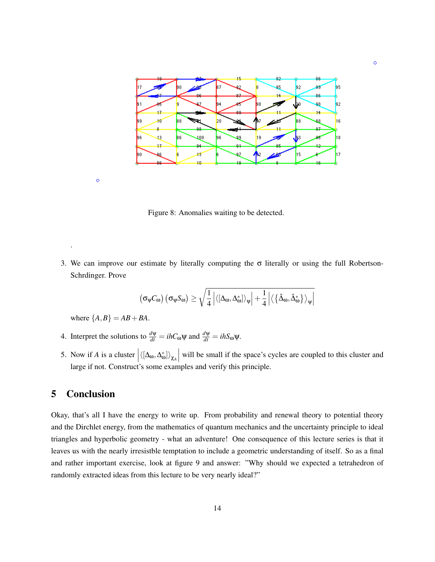

 $\ddot{\circ}$ 

 $\ddot{\circ}$ 

.

Figure 8: Anomalies waiting to be detected.

3. We can improve our estimate by literally computing the  $\sigma$  literally or using the full Robertson-Schrdinger. Prove

$$
\left(\sigma_\psi C_\omega\right)\left(\sigma_\psi S_\omega\right)\geq\sqrt{\frac{1}{4}\left|\langle\left[\Delta_\omega,\Delta_\omega^*\right]\rangle_\psi\right|+\frac{1}{4}\left|\langle\left\{\hat{\Delta}_\omega,\hat{\Delta}_\omega^*\right\}\rangle_\psi\right|}
$$

where  ${A, B} = AB + BA$ .

- 4. Interpret the solutions to  $\frac{d\psi}{dt} = i\hbar C_0 \psi$  and  $\frac{d\psi}{dt} = i\hbar S_0 \psi$ .
- 5. Now if *A* is a cluster  $\left| \langle [\Delta_{\omega}, \Delta_{\omega}^*] \rangle_{\chi_A} \right|$  will be small if the space's cycles are coupled to this cluster and large if not. Construct's some examples and verify this principle.

# 5 Conclusion

Okay, that's all I have the energy to write up. From probability and renewal theory to potential theory and the Dirchlet energy, from the mathematics of quantum mechanics and the uncertainty principle to ideal triangles and hyperbolic geometry - what an adventure! One consequence of this lecture series is that it leaves us with the nearly irresistble temptation to include a geometric understanding of itself. So as a final and rather important exercise, look at figure 9 and answer: "Why should we expected a tetrahedron of randomly extracted ideas from this lecture to be very nearly ideal?"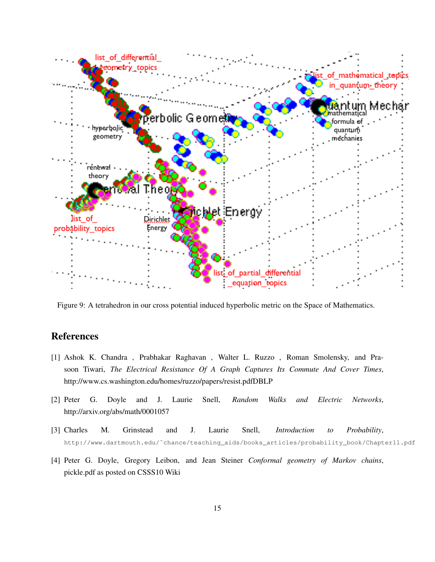

Figure 9: A tetrahedron in our cross potential induced hyperbolic metric on the Space of Mathematics.

# References

- [1] Ashok K. Chandra , Prabhakar Raghavan , Walter L. Ruzzo , Roman Smolensky, and Prasoon Tiwari, *The Electrical Resistance Of A Graph Captures Its Commute And Cover Times*, http://www.cs.washington.edu/homes/ruzzo/papers/resist.pdfDBLP
- [2] Peter G. Doyle and J. Laurie Snell, *Random Walks and Electric Networks*, http://arxiv.org/abs/math/0001057
- [3] Charles M. Grinstead and J. Laurie Snell, *Introduction to Probability*, http://www.dartmouth.edu/˜chance/teaching\_aids/books\_articles/probability\_book/Chapter11.pdf
- [4] Peter G. Doyle, Gregory Leibon, and Jean Steiner *Conformal geometry of Markov chains*, pickle.pdf as posted on CSSS10 Wiki